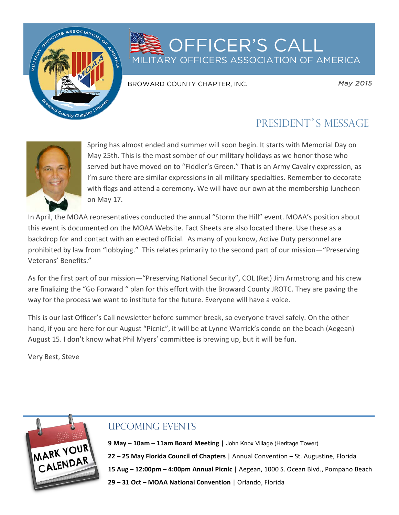

## **SOFFICER'S CALL** MILITARY OFFICERS ASSOCIATION OF AMERICA

BROWARD COUNTY CHAPTER, INC.

*May 2015* 

## PRESIDENT'S MESSAGE



Spring has almost ended and summer will soon begin. It starts with Memorial Day on May 25th. This is the most somber of our military holidays as we honor those who served but have moved on to "Fiddler's Green." That is an Army Cavalry expression, as I'm sure there are similar expressions in all military specialties. Remember to decorate with flags and attend a ceremony. We will have our own at the membership luncheon on May 17.

In April, the MOAA representatives conducted the annual "Storm the Hill" event. MOAA's position about this event is documented on the MOAA Website. Fact Sheets are also located there. Use these as a backdrop for and contact with an elected official. As many of you know, Active Duty personnel are prohibited by law from "lobbying." This relates primarily to the second part of our mission—"Preserving Veterans' Benefits."

As for the first part of our mission—"Preserving National Security", COL (Ret) Jim Armstrong and his crew are finalizing the "Go Forward " plan for this effort with the Broward County JROTC. They are paving the way for the process we want to institute for the future. Everyone will have a voice.

This is our last Officer's Call newsletter before summer break, so everyone travel safely. On the other hand, if you are here for our August "Picnic", it will be at Lynne Warrick's condo on the beach (Aegean) August 15. I don't know what Phil Myers' committee is brewing up, but it will be fun.

Very Best, Steve



## UPCOMING EVENTS

**9 May – 10am – 11am Board Meeting | John Knox Village (Heritage Tower) 22 - 25 May Florida Council of Chapters** | Annual Convention - St. Augustine, Florida **15 Aug - 12:00pm - 4:00pm Annual Picnic** | Aegean, 1000 S. Ocean Blvd., Pompano Beach **29 - 31 Oct - MOAA National Convention** | Orlando, Florida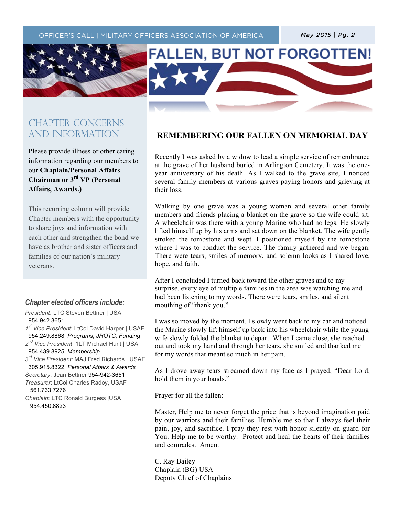$\mathcal{T}_{\mathcal{A}}$  (the text)  $\mathcal{T}_{\mathcal{A}}$  (the text)  $\mathcal{T}_{\mathcal{A}}$  (the text)  $\mathcal{T}_{\mathcal{A}}$  (the text)  $\mathcal{T}_{\mathcal{A}}$ 





### CHAPTER CONCERNs AND INFORMATION

Please provide illness or other caring information regarding our members to our **Chaplain/Personal Affairs Chairman or 3rd VP (Personal Affairs, Awards.)**

This recurring column will provide Chapter members with the opportunity to share joys and information with each other and strengthen the bond we have as brother and sister officers and families of our nation's military veterans.

#### *Chapter elected officers include:*

*President*: LTC Steven Bettner | USA 954.942.3651 *1st Vice President*: LtCol David Harper | USAF 954.249.8868; *Programs, JROTC, Funding*

*2nd Vice President*: 1LT Michael Hunt | USA 954.439.8925, *Membership 3rd Vice President*: MAJ Fred Richards | USAF 305.915.8322; *Personal Affairs & Awards*

*Secretary*: Jean Bettner 954-942-3651

*Treasurer*: LtCol Charles Radoy, USAF 561.733.7276

*Chaplain*: LTC Ronald Burgess |USA 954.450.8823

#### **REMEMBERING OUR FALLEN ON MEMORIAL DAY**

Recently I was asked by a widow to lead a simple service of remembrance at the grave of her husband buried in Arlington Cemetery. It was the oneyear anniversary of his death. As I walked to the grave site, I noticed several family members at various graves paying honors and grieving at their loss.

Walking by one grave was a young woman and several other family members and friends placing a blanket on the grave so the wife could sit. A wheelchair was there with a young Marine who had no legs. He slowly lifted himself up by his arms and sat down on the blanket. The wife gently stroked the tombstone and wept. I positioned myself by the tombstone where I was to conduct the service. The family gathered and we began. There were tears, smiles of memory, and solemn looks as I shared love, hope, and faith.

After I concluded I turned back toward the other graves and to my surprise, every eye of multiple families in the area was watching me and had been listening to my words. There were tears, smiles, and silent mouthing of "thank you."

I was so moved by the moment. I slowly went back to my car and noticed the Marine slowly lift himself up back into his wheelchair while the young wife slowly folded the blanket to depart. When I came close, she reached out and took my hand and through her tears, she smiled and thanked me for my words that meant so much in her pain.

As I drove away tears streamed down my face as I prayed, "Dear Lord, hold them in your hands."

Prayer for all the fallen:

Master, Help me to never forget the price that is beyond imagination paid by our warriors and their families. Humble me so that I always feel their pain, joy, and sacrifice. I pray they rest with honor silently on guard for You. Help me to be worthy. Protect and heal the hearts of their families and comrades. Amen.

C. Ray Bailey Chaplain (BG) USA Deputy Chief of Chaplains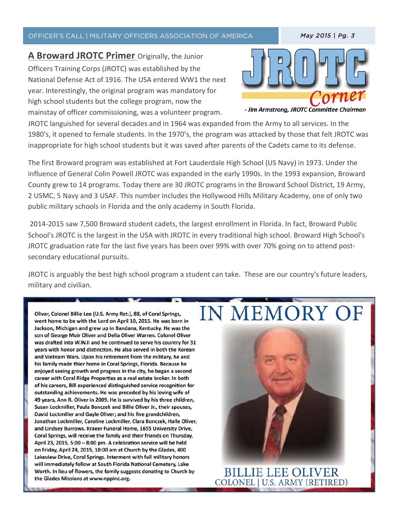#### OFFICER'S CALL | MILITARY OFFICERS ASSOCIATION OF AMERICA *May 2015 | Pg. 3*

**A Broward JROTC Primer** Originally, the Junior Officers Training Corps (JROTC) was established by the National Defense Act of 1916. The USA entered WW1 the next year. Interestingly, the original program was mandatory for high school students but the college program, now the mainstay of officer commissioning, was a volunteer program.



- Jim Armstrong, JROTC Committee Chairman

JROTC languished for several decades and in 1964 was expanded from the Army to all services. In the 1980's, it opened to female students. In the 1970's, the program was attacked by those that felt JROTC was inappropriate for high school students but it was saved after parents of the Cadets came to its defense.

 $\mathcal{T}_{\mathcal{A}}$  (the text)  $\mathcal{T}_{\mathcal{A}}$  (the text)  $\mathcal{T}_{\mathcal{A}}$  (the text)  $\mathcal{T}_{\mathcal{A}}$ 

The first Broward program was established at Fort Lauderdale High School (US Navy) in 1973. Under the influence of General Colin Powell JROTC was expanded in the early 1990s. In the 1993 expansion, Broward County grew to 14 programs. Today there are 30 JROTC programs in the Broward School District, 19 Army, 2 USMC, 5 Navy and 3 USAF. This number includes the Hollywood Hills Military Academy, one of only two public military schools in Florida and the only academy in South Florida.

2014-2015 saw 7,500 Broward student cadets, the largest enrollment in Florida. In fact, Broward Public School's JROTC is the largest in the USA with JROTC in every traditional high school. Broward High School's JROTC graduation rate for the last five years has been over 99% with over 70% going on to attend postsecondary educational pursuits.

JROTC is arguably the best high school program a student can take. These are our country's future leaders, military and civilian.

Oliver, Colonel Billie Lee (U.S. Army Ret.), 88, of Coral Springs, went home to be with the Lord on April 10, 2015. He was born in Jackson, Michigan and grew up in Bandana, Kentucky. He was the son of George Muir Oliver and Della Oliver Warren. Colonel Oliver was drafted into W.W.II and he continued to serve his country for 31 years with honor and distinction. He also served in both the Korean and Vietnam Wars. Upon his retirement from the military, he and his family made thier home in Coral Springs, Florida. Because he enjoyed seeing growth and progress in the city, he began a second career with Coral Ridge Properties as a real estate broker. In both of his careers, Bill experienced distinguished service recognition for outstanding achievements. He was preceded by his loving wife of 49 years, Ann R. Oliver in 2009. He is survived by his three children, Susan Lockmiller, Paula Bonczek and Billie Oliver Jr., their spouses, David Lockmiller and Gayle Oliver; and his five grandchildren, Jonathan Lockmiller, Caroline Lockmiller, Clara Bonczek, Halle Oliver, and Lindsey Burrows. Kraeer Funeral Home, 1655 University Drive, Coral Springs, will receive the family and their friends on Thursday, April 23, 2015, 5:00 - 8:00 pm. A celebration service will be held on Friday, April 24, 2015, 10:00 am at Church by the Glades, 400 Lakeview Drive, Coral Springs. Interment with full military honors will immediately follow at South Florida National Cemetery, Lake Worth. In lieu of flowers, the family suggests donating to Church by the Glades Missions at www.nppinc.org.

# **IN MEMORY OF**



**BILLIE LEE OLIVER** COLONEL | U.S. ARMY (RETIRED)